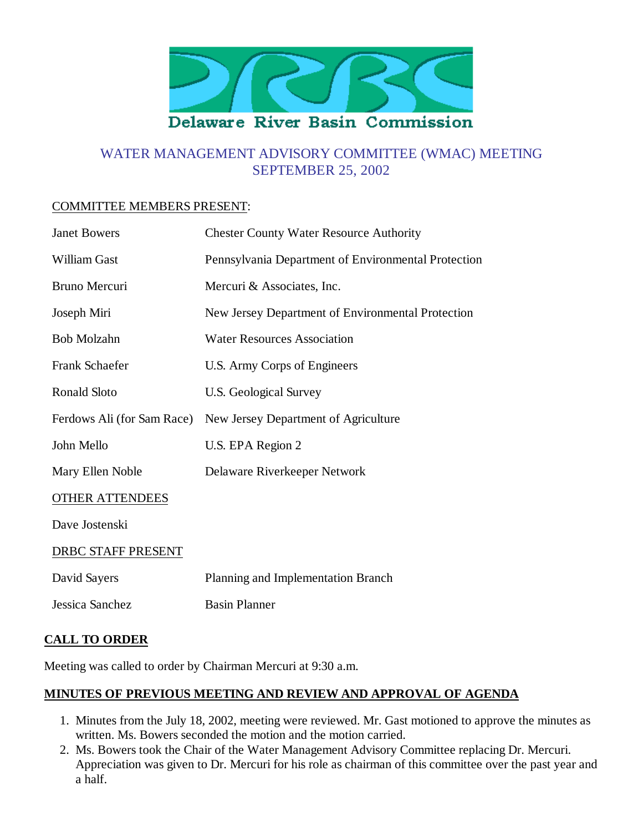

# WATER MANAGEMENT ADVISORY COMMITTEE (WMAC) MEETING SEPTEMBER 25, 2002

#### COMMITTEE MEMBERS PRESENT:

| <b>Janet Bowers</b>        | <b>Chester County Water Resource Authority</b>      |
|----------------------------|-----------------------------------------------------|
| <b>William Gast</b>        | Pennsylvania Department of Environmental Protection |
| Bruno Mercuri              | Mercuri & Associates, Inc.                          |
| Joseph Miri                | New Jersey Department of Environmental Protection   |
| <b>Bob Molzahn</b>         | <b>Water Resources Association</b>                  |
| Frank Schaefer             | U.S. Army Corps of Engineers                        |
| <b>Ronald Sloto</b>        | U.S. Geological Survey                              |
| Ferdows Ali (for Sam Race) | New Jersey Department of Agriculture                |
| John Mello                 | U.S. EPA Region 2                                   |
| Mary Ellen Noble           | Delaware Riverkeeper Network                        |
| <b>OTHER ATTENDEES</b>     |                                                     |
| Dave Jostenski             |                                                     |
| DRBC STAFF PRESENT         |                                                     |
| David Sayers               | Planning and Implementation Branch                  |
| Jessica Sanchez            | <b>Basin Planner</b>                                |
|                            |                                                     |

#### **CALL TO ORDER**

Meeting was called to order by Chairman Mercuri at 9:30 a.m.

# **MINUTES OF PREVIOUS MEETING AND REVIEW AND APPROVAL OF AGENDA**

- 1. Minutes from the July 18, 2002, meeting were reviewed. Mr. Gast motioned to approve the minutes as written. Ms. Bowers seconded the motion and the motion carried.
- 2. Ms. Bowers took the Chair of the Water Management Advisory Committee replacing Dr. Mercuri. Appreciation was given to Dr. Mercuri for his role as chairman of this committee over the past year and a half.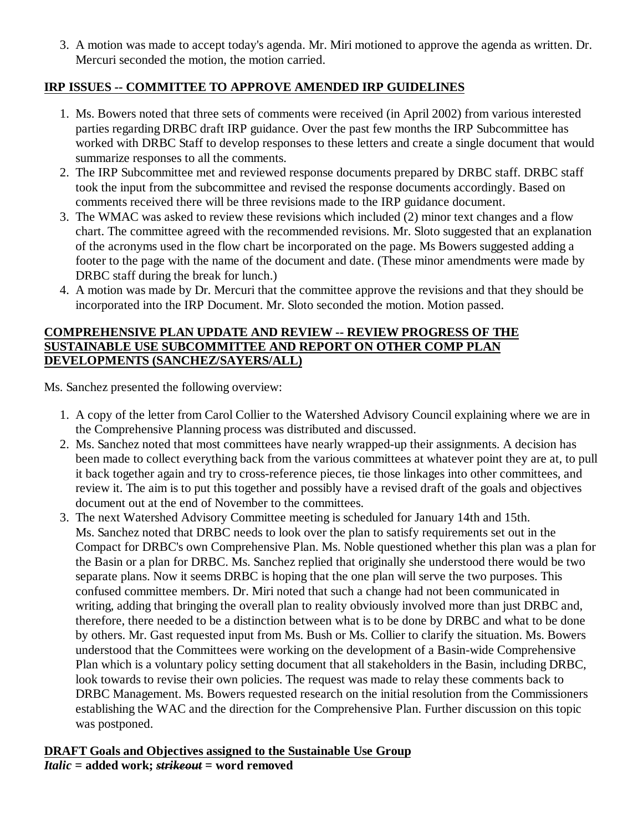A motion was made to accept today's agenda. Mr. Miri motioned to approve the agenda as written. Dr. 3. Mercuri seconded the motion, the motion carried.

# **IRP ISSUES -- COMMITTEE TO APPROVE AMENDED IRP GUIDELINES**

- 1. Ms. Bowers noted that three sets of comments were received (in April 2002) from various interested parties regarding DRBC draft IRP guidance. Over the past few months the IRP Subcommittee has worked with DRBC Staff to develop responses to these letters and create a single document that would summarize responses to all the comments.
- 2. The IRP Subcommittee met and reviewed response documents prepared by DRBC staff. DRBC staff took the input from the subcommittee and revised the response documents accordingly. Based on comments received there will be three revisions made to the IRP guidance document.
- The WMAC was asked to review these revisions which included (2) minor text changes and a flow 3. chart. The committee agreed with the recommended revisions. Mr. Sloto suggested that an explanation of the acronyms used in the flow chart be incorporated on the page. Ms Bowers suggested adding a footer to the page with the name of the document and date. (These minor amendments were made by DRBC staff during the break for lunch.)
- A motion was made by Dr. Mercuri that the committee approve the revisions and that they should be 4. incorporated into the IRP Document. Mr. Sloto seconded the motion. Motion passed.

#### **COMPREHENSIVE PLAN UPDATE AND REVIEW -- REVIEW PROGRESS OF THE SUSTAINABLE USE SUBCOMMITTEE AND REPORT ON OTHER COMP PLAN DEVELOPMENTS (SANCHEZ/SAYERS/ALL)**

Ms. Sanchez presented the following overview:

- 1. A copy of the letter from Carol Collier to the Watershed Advisory Council explaining where we are in the Comprehensive Planning process was distributed and discussed.
- 2. Ms. Sanchez noted that most committees have nearly wrapped-up their assignments. A decision has been made to collect everything back from the various committees at whatever point they are at, to pull it back together again and try to cross-reference pieces, tie those linkages into other committees, and review it. The aim is to put this together and possibly have a revised draft of the goals and objectives document out at the end of November to the committees.
- 3. The next Watershed Advisory Committee meeting is scheduled for January 14th and 15th. Ms. Sanchez noted that DRBC needs to look over the plan to satisfy requirements set out in the Compact for DRBC's own Comprehensive Plan. Ms. Noble questioned whether this plan was a plan for the Basin or a plan for DRBC. Ms. Sanchez replied that originally she understood there would be two separate plans. Now it seems DRBC is hoping that the one plan will serve the two purposes. This confused committee members. Dr. Miri noted that such a change had not been communicated in writing, adding that bringing the overall plan to reality obviously involved more than just DRBC and, therefore, there needed to be a distinction between what is to be done by DRBC and what to be done by others. Mr. Gast requested input from Ms. Bush or Ms. Collier to clarify the situation. Ms. Bowers understood that the Committees were working on the development of a Basin-wide Comprehensive Plan which is a voluntary policy setting document that all stakeholders in the Basin, including DRBC, look towards to revise their own policies. The request was made to relay these comments back to DRBC Management. Ms. Bowers requested research on the initial resolution from the Commissioners establishing the WAC and the direction for the Comprehensive Plan. Further discussion on this topic was postponed.

**DRAFT Goals and Objectives assigned to the Sustainable Use Group** *Italic* **= added work;** *strikeout* **= word removed**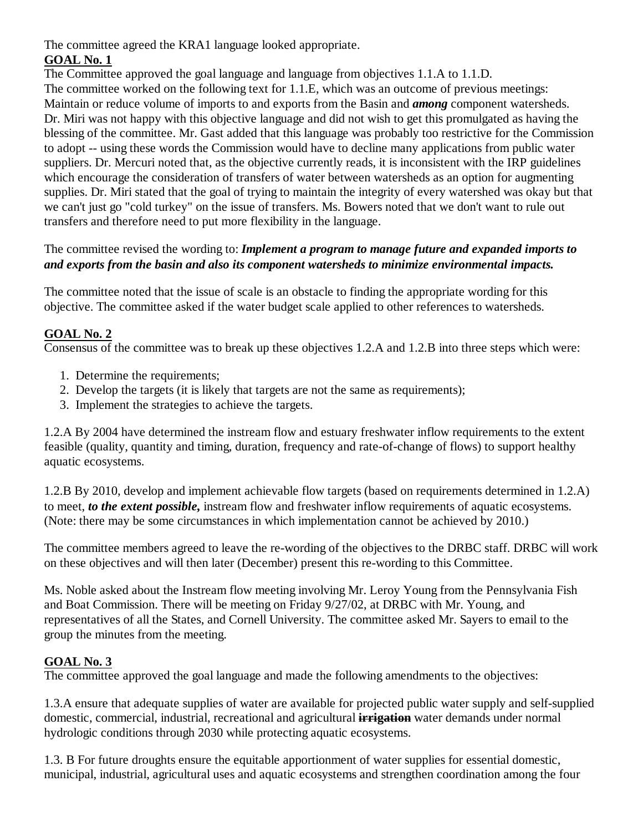The committee agreed the KRA1 language looked appropriate.

# **GOAL No. 1**

The Committee approved the goal language and language from objectives 1.1.A to 1.1.D.

The committee worked on the following text for 1.1.E, which was an outcome of previous meetings: Maintain or reduce volume of imports to and exports from the Basin and *among* component watersheds. Dr. Miri was not happy with this objective language and did not wish to get this promulgated as having the blessing of the committee. Mr. Gast added that this language was probably too restrictive for the Commission to adopt -- using these words the Commission would have to decline many applications from public water suppliers. Dr. Mercuri noted that, as the objective currently reads, it is inconsistent with the IRP guidelines which encourage the consideration of transfers of water between watersheds as an option for augmenting supplies. Dr. Miri stated that the goal of trying to maintain the integrity of every watershed was okay but that we can't just go "cold turkey" on the issue of transfers. Ms. Bowers noted that we don't want to rule out transfers and therefore need to put more flexibility in the language.

# The committee revised the wording to: *Implement a program to manage future and expanded imports to and exports from the basin and also its component watersheds to minimize environmental impacts.*

The committee noted that the issue of scale is an obstacle to finding the appropriate wording for this objective. The committee asked if the water budget scale applied to other references to watersheds.

# **GOAL No. 2**

Consensus of the committee was to break up these objectives 1.2.A and 1.2.B into three steps which were:

- 1. Determine the requirements;
- 2. Develop the targets (it is likely that targets are not the same as requirements);
- 3. Implement the strategies to achieve the targets.

1.2.A By 2004 have determined the instream flow and estuary freshwater inflow requirements to the extent feasible (quality, quantity and timing, duration, frequency and rate-of-change of flows) to support healthy aquatic ecosystems.

1.2.B By 2010, develop and implement achievable flow targets (based on requirements determined in 1.2.A) to meet, *to the extent possible,* instream flow and freshwater inflow requirements of aquatic ecosystems. (Note: there may be some circumstances in which implementation cannot be achieved by 2010.)

The committee members agreed to leave the re-wording of the objectives to the DRBC staff. DRBC will work on these objectives and will then later (December) present this re-wording to this Committee.

Ms. Noble asked about the Instream flow meeting involving Mr. Leroy Young from the Pennsylvania Fish and Boat Commission. There will be meeting on Friday 9/27/02, at DRBC with Mr. Young, and representatives of all the States, and Cornell University. The committee asked Mr. Sayers to email to the group the minutes from the meeting.

# **GOAL No. 3**

The committee approved the goal language and made the following amendments to the objectives:

1.3.A ensure that adequate supplies of water are available for projected public water supply and self-supplied domestic, commercial, industrial, recreational and agricultural **irrigation** water demands under normal hydrologic conditions through 2030 while protecting aquatic ecosystems.

1.3. B For future droughts ensure the equitable apportionment of water supplies for essential domestic, municipal, industrial, agricultural uses and aquatic ecosystems and strengthen coordination among the four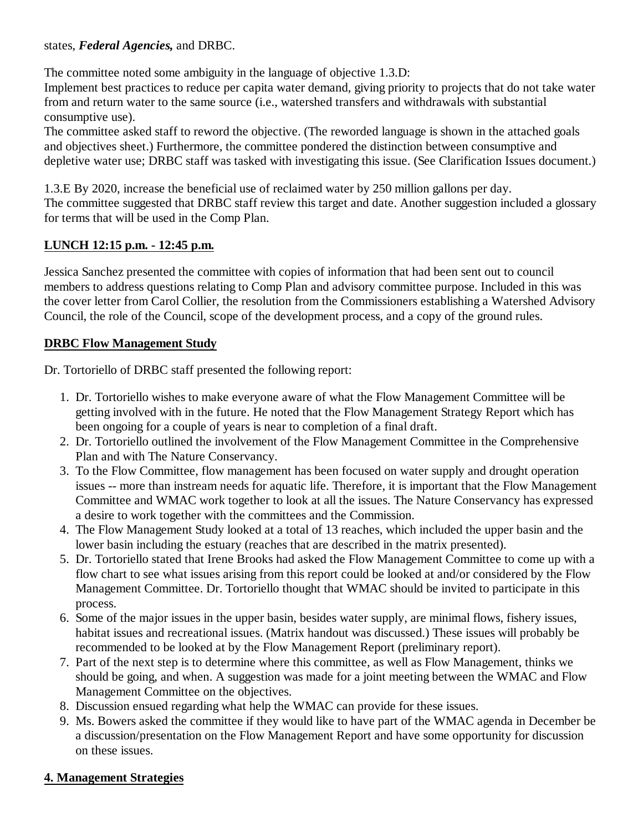#### states, *Federal Agencies,* and DRBC.

The committee noted some ambiguity in the language of objective 1.3.D:

Implement best practices to reduce per capita water demand, giving priority to projects that do not take water from and return water to the same source (i.e., watershed transfers and withdrawals with substantial consumptive use).

The committee asked staff to reword the objective. (The reworded language is shown in the attached goals and objectives sheet.) Furthermore, the committee pondered the distinction between consumptive and depletive water use; DRBC staff was tasked with investigating this issue. (See Clarification Issues document.)

1.3.E By 2020, increase the beneficial use of reclaimed water by 250 million gallons per day. The committee suggested that DRBC staff review this target and date. Another suggestion included a glossary for terms that will be used in the Comp Plan.

#### **LUNCH 12:15 p.m. - 12:45 p.m.**

Jessica Sanchez presented the committee with copies of information that had been sent out to council members to address questions relating to Comp Plan and advisory committee purpose. Included in this was the cover letter from Carol Collier, the resolution from the Commissioners establishing a Watershed Advisory Council, the role of the Council, scope of the development process, and a copy of the ground rules.

#### **DRBC Flow Management Study**

Dr. Tortoriello of DRBC staff presented the following report:

- 1. Dr. Tortoriello wishes to make everyone aware of what the Flow Management Committee will be getting involved with in the future. He noted that the Flow Management Strategy Report which has been ongoing for a couple of years is near to completion of a final draft.
- 2. Dr. Tortoriello outlined the involvement of the Flow Management Committee in the Comprehensive Plan and with The Nature Conservancy.
- 3. To the Flow Committee, flow management has been focused on water supply and drought operation issues -- more than instream needs for aquatic life. Therefore, it is important that the Flow Management Committee and WMAC work together to look at all the issues. The Nature Conservancy has expressed a desire to work together with the committees and the Commission.
- The Flow Management Study looked at a total of 13 reaches, which included the upper basin and the 4. lower basin including the estuary (reaches that are described in the matrix presented).
- 5. Dr. Tortoriello stated that Irene Brooks had asked the Flow Management Committee to come up with a flow chart to see what issues arising from this report could be looked at and/or considered by the Flow Management Committee. Dr. Tortoriello thought that WMAC should be invited to participate in this process.
- 6. Some of the major issues in the upper basin, besides water supply, are minimal flows, fishery issues, habitat issues and recreational issues. (Matrix handout was discussed.) These issues will probably be recommended to be looked at by the Flow Management Report (preliminary report).
- 7. Part of the next step is to determine where this committee, as well as Flow Management, thinks we should be going, and when. A suggestion was made for a joint meeting between the WMAC and Flow Management Committee on the objectives.
- 8. Discussion ensued regarding what help the WMAC can provide for these issues.
- Ms. Bowers asked the committee if they would like to have part of the WMAC agenda in December be 9. a discussion/presentation on the Flow Management Report and have some opportunity for discussion on these issues.

# **4. Management Strategies**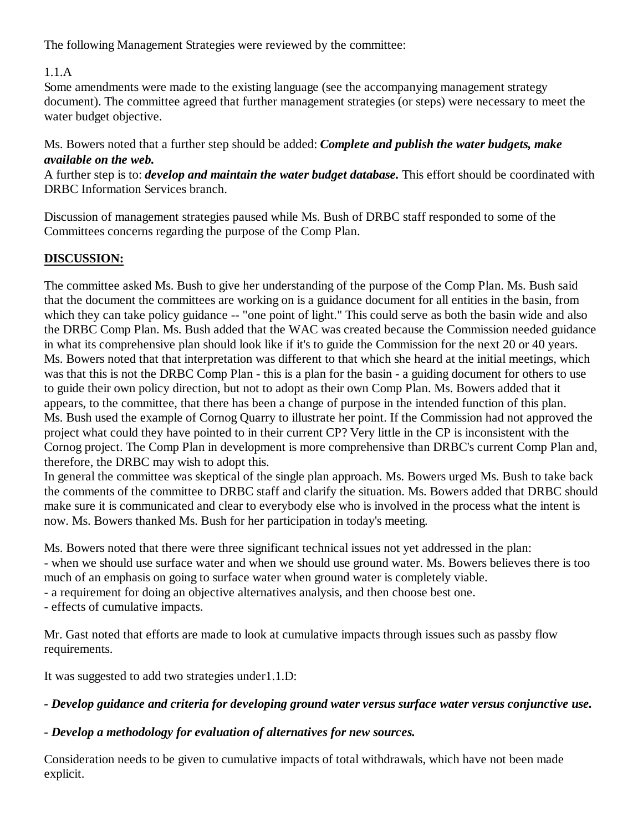The following Management Strategies were reviewed by the committee:

# 1.1.A

Some amendments were made to the existing language (see the accompanying management strategy document). The committee agreed that further management strategies (or steps) were necessary to meet the water budget objective.

Ms. Bowers noted that a further step should be added: *Complete and publish the water budgets, make available on the web.*

A further step is to: *develop and maintain the water budget database.* This effort should be coordinated with DRBC Information Services branch.

Discussion of management strategies paused while Ms. Bush of DRBC staff responded to some of the Committees concerns regarding the purpose of the Comp Plan.

# **DISCUSSION:**

The committee asked Ms. Bush to give her understanding of the purpose of the Comp Plan. Ms. Bush said that the document the committees are working on is a guidance document for all entities in the basin, from which they can take policy guidance -- "one point of light." This could serve as both the basin wide and also the DRBC Comp Plan. Ms. Bush added that the WAC was created because the Commission needed guidance in what its comprehensive plan should look like if it's to guide the Commission for the next 20 or 40 years. Ms. Bowers noted that that interpretation was different to that which she heard at the initial meetings, which was that this is not the DRBC Comp Plan - this is a plan for the basin - a guiding document for others to use to guide their own policy direction, but not to adopt as their own Comp Plan. Ms. Bowers added that it appears, to the committee, that there has been a change of purpose in the intended function of this plan. Ms. Bush used the example of Cornog Quarry to illustrate her point. If the Commission had not approved the project what could they have pointed to in their current CP? Very little in the CP is inconsistent with the Cornog project. The Comp Plan in development is more comprehensive than DRBC's current Comp Plan and, therefore, the DRBC may wish to adopt this.

In general the committee was skeptical of the single plan approach. Ms. Bowers urged Ms. Bush to take back the comments of the committee to DRBC staff and clarify the situation. Ms. Bowers added that DRBC should make sure it is communicated and clear to everybody else who is involved in the process what the intent is now. Ms. Bowers thanked Ms. Bush for her participation in today's meeting.

Ms. Bowers noted that there were three significant technical issues not yet addressed in the plan: - when we should use surface water and when we should use ground water. Ms. Bowers believes there is too much of an emphasis on going to surface water when ground water is completely viable.

- a requirement for doing an objective alternatives analysis, and then choose best one.

- effects of cumulative impacts.

Mr. Gast noted that efforts are made to look at cumulative impacts through issues such as passby flow requirements.

It was suggested to add two strategies under1.1.D:

# *- Develop guidance and criteria for developing ground water versus surface water versus conjunctive use.*

# *- Develop a methodology for evaluation of alternatives for new sources.*

Consideration needs to be given to cumulative impacts of total withdrawals, which have not been made explicit.